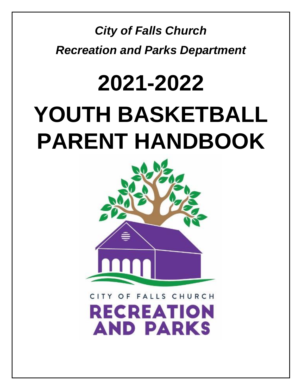# *City of Falls Church Recreation and Parks Department*

# **2021-2022 YOUTH BASKETBALL PARENT HANDBOOK**



**FALLS CHURCH** O F **RECREATION AND PARKS**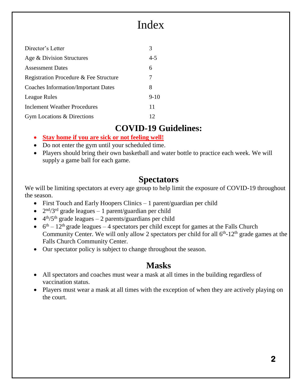# Index

| Director's Letter                          |         |
|--------------------------------------------|---------|
| Age & Division Structures                  | $4 - 5$ |
| <b>Assessment Dates</b>                    | 6       |
| Registration Procedure & Fee Structure     | 7       |
| <b>Coaches Information/Important Dates</b> | 8       |
| League Rules                               | $9-10$  |
| <b>Inclement Weather Procedures</b>        | 11      |
| Gym Locations & Directions                 | 12      |

#### **COVID-19 Guidelines:**

- **Stay home if you are sick or not feeling well!**
- Do not enter the gym until your scheduled time.
- Players should bring their own basketball and water bottle to practice each week. We will supply a game ball for each game.

## **Spectators**

We will be limiting spectators at every age group to help limit the exposure of COVID-19 throughout the season.

- First Touch and Early Hoopers Clinics 1 parent/guardian per child
- $2<sup>nd</sup>/3<sup>rd</sup>$  grade leagues 1 parent/guardian per child
- $\bullet$  4<sup>th</sup>/5<sup>th</sup> grade leagues 2 parents/guardians per child
- $\bullet$  6<sup>th</sup> 12<sup>th</sup> grade leagues 4 spectators per child except for games at the Falls Church Community Center. We will only allow 2 spectators per child for all  $6<sup>th</sup>$ -12<sup>th</sup> grade games at the Falls Church Community Center.
- Our spectator policy is subject to change throughout the season.

## **Masks**

- All spectators and coaches must wear a mask at all times in the building regardless of vaccination status.
- Players must wear a mask at all times with the exception of when they are actively playing on the court.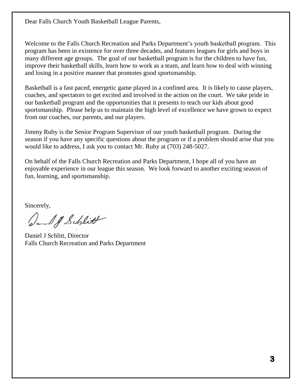Dear Falls Church Youth Basketball League Parents,

Welcome to the Falls Church Recreation and Parks Department's youth basketball program. This program has been in existence for over three decades, and features leagues for girls and boys in many different age groups. The goal of our basketball program is for the children to have fun, improve their basketball skills, learn how to work as a team, and learn how to deal with winning and losing in a positive manner that promotes good sportsmanship.

Basketball is a fast paced, energetic game played in a confined area. It is likely to cause players, coaches, and spectators to get excited and involved in the action on the court. We take pride in our basketball program and the opportunities that it presents to teach our kids about good sportsmanship. Please help us to maintain the high level of excellence we have grown to expect from our coaches, our parents, and our players.

Jimmy Ruby is the Senior Program Supervisor of our youth basketball program. During the season if you have any specific questions about the program or if a problem should arise that you would like to address, I ask you to contact Mr. Ruby at (703) 248-5027.

On behalf of the Falls Church Recreation and Parks Department, I hope all of you have an enjoyable experience in our league this season. We look forward to another exciting season of fun, learning, and sportsmanship.

Sincerely,

Dal & Schlitt

Daniel J Schlitt, Director Falls Church Recreation and Parks Department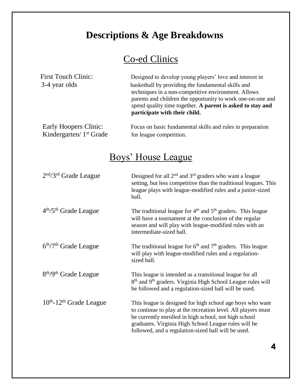# **Descriptions & Age Breakdowns**

# Co-ed Clinics

| <b>First Touch Clinic:</b>          | Designed to develop young players' love and interest in                                                                                                                                                                                |
|-------------------------------------|----------------------------------------------------------------------------------------------------------------------------------------------------------------------------------------------------------------------------------------|
| 3-4 year olds                       | basketball by providing the fundamental skills and<br>techniques in a non-competitive environment. Allows<br>parents and children the opportunity to work one-on-one and<br>spend quality time together. A parent is asked to stay and |
|                                     | participate with their child.                                                                                                                                                                                                          |
| Early Hoopers Clinic:               | Focus on basic fundamental skills and rules in preparation                                                                                                                                                                             |
| Kindergarten/ 1 <sup>st</sup> Grade | for league competition.                                                                                                                                                                                                                |

# Boys' House League

| $2nd/3rd$ Grade League                        | Designed for all $2nd$ and $3rd$ graders who want a league<br>setting, but less competitive than the traditional leagues. This<br>league plays with league-modified rules and a junior-sized<br>ball.                                                                                              |
|-----------------------------------------------|----------------------------------------------------------------------------------------------------------------------------------------------------------------------------------------------------------------------------------------------------------------------------------------------------|
| 4 <sup>th</sup> /5 <sup>th</sup> Grade League | The traditional league for $4th$ and $5th$ graders. This league<br>will have a tournament at the conclusion of the regular<br>season and will play with league-modified rules with an<br>intermediate-sized ball.                                                                                  |
| $6th/7th$ Grade League                        | The traditional league for $6th$ and $7th$ graders. This league<br>will play with league-modified rules and a regulation-<br>sized ball.                                                                                                                                                           |
| 8 <sup>th</sup> /9 <sup>th</sup> Grade League | This league is intended as a transitional league for all<br>8 <sup>th</sup> and 9 <sup>th</sup> graders. Virginia High School League rules will<br>be followed and a regulation-sized ball will be used.                                                                                           |
| $10th$ -12 <sup>th</sup> Grade League         | This league is designed for high school age boys who want<br>to continue to play at the recreation level. All players must<br>be currently enrolled in high school, not high school<br>graduates. Virginia High School League rules will be<br>followed, and a regulation-sized ball will be used. |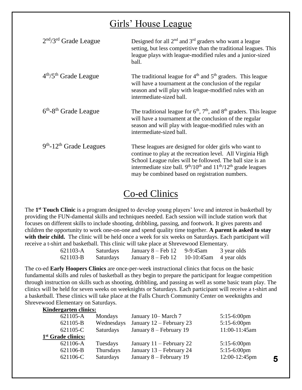# Girls' House League

| $2nd/3rd$ Grade League                          | Designed for all $2nd$ and $3rd$ graders who want a league<br>setting, but less competitive than the traditional leagues. This<br>league plays with league-modified rules and a junior-sized<br>ball.                                                                                                    |
|-------------------------------------------------|----------------------------------------------------------------------------------------------------------------------------------------------------------------------------------------------------------------------------------------------------------------------------------------------------------|
| $4th/5th$ Grade League                          | The traditional league for $4th$ and $5th$ graders. This league<br>will have a tournament at the conclusion of the regular<br>season and will play with league-modified rules with an<br>intermediate-sized ball.                                                                                        |
| $6th$ -8 <sup>th</sup> Grade League             | The traditional league for $6th$ , $7th$ , and $8th$ graders. This league<br>will have a tournament at the conclusion of the regular<br>season and will play with league-modified rules with an<br>intermediate-sized ball.                                                                              |
| 9 <sup>th</sup> -12 <sup>th</sup> Grade Leagues | These leagues are designed for older girls who want to<br>continue to play at the recreation level. All Virginia High<br>School League rules will be followed. The ball size is an<br>intermediate size ball. $9th/10th$ and $11th/12th$ grade leagues<br>may be combined based on registration numbers. |

# Co-ed Clinics

The **1 st Touch Clinic** is a program designed to develop young players' love and interest in basketball by providing the FUN-damental skills and techniques needed. Each session will include station work that focuses on different skills to include shooting, dribbling, passing, and footwork. It gives parents and children the opportunity to work one-on-one and spend quality time together. **A parent is asked to stay**  with their child. The clinic will be held once a week for six weeks on Saturdays. Each participant will receive a t-shirt and basketball. This clinic will take place at Shrevewood Elementary.

| 621103-A | Saturdays        | January $8 - \text{Feb } 12$ 9-9:45am |                             | 3 year olds |
|----------|------------------|---------------------------------------|-----------------------------|-------------|
| 621103-B | <b>Saturdays</b> | January $8 - \text{Feb} 12$           | $10-10:45$ am $4$ year olds |             |

The co-ed **Early Hoopers Clinics** are once-per-week instructional clinics that focus on the basic fundamental skills and rules of basketball as they begin to prepare the participant for league competition through instruction on skills such as shooting, dribbling, and passing as well as some basic team play. The clinics will be held for seven weeks on weeknights or Saturdays. Each participant will receive a t-shirt and a basketball. These clinics will take place at the Falls Church Community Center on weeknights and Shrevewood Elementary on Saturdays. **Kindergarten clinics:**

| KINGLE LITTLE CHINA.           |                  |                            |                |   |
|--------------------------------|------------------|----------------------------|----------------|---|
| 621105-A                       | Mondays          | January 10– March 7        | $5:15-6:00$ pm |   |
| 621105-B                       | Wednesdays       | January $12$ – February 23 | $5:15-6:00$ pm |   |
| 621105-C                       | <b>Saturdays</b> | January 8 – February 19    | 11:00-11:45am  |   |
| 1 <sup>st</sup> Grade clinics: |                  |                            |                |   |
| 621106-A                       | Tuesdays         | January $11$ – February 22 | $5:15-6:00$ pm |   |
| 621106-B                       | Thursdays        | January 13 – February 24   | $5:15-6:00$ pm |   |
| 621106-C                       | <b>Saturdays</b> | January 8 – February 19    | 12:00-12:45pm  | 5 |
|                                |                  |                            |                |   |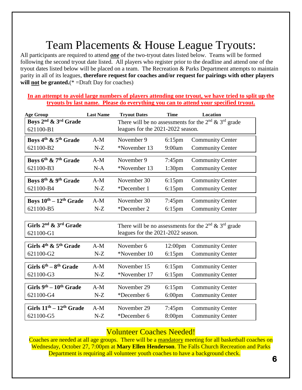# Team Placements & House League Tryouts:

All participants are required to attend *one* of the two-tryout dates listed below. Teams will be formed following the second tryout date listed. All players who register prior to the deadline and attend one of the tryout dates listed below will be placed on a team. The Recreation & Parks Department attempts to maintain parity in all of its leagues, **therefore request for coaches and/or request for pairings with other players will not be granted.**(\* =Draft Day for coaches)

#### **In an attempt to avoid large numbers of players attending one tryout, we have tried to split up the tryouts by last name. Please do everything you can to attend your specified tryout.**

| <b>Last Name</b>                   | <b>Tryout Dates</b>              | <b>Time</b>                                                             | Location                                                                                                                                                                                                                                                                                |
|------------------------------------|----------------------------------|-------------------------------------------------------------------------|-----------------------------------------------------------------------------------------------------------------------------------------------------------------------------------------------------------------------------------------------------------------------------------------|
|                                    |                                  |                                                                         |                                                                                                                                                                                                                                                                                         |
|                                    |                                  |                                                                         |                                                                                                                                                                                                                                                                                         |
| $A-M$                              | November 9                       | $6:15$ pm                                                               | <b>Community Center</b>                                                                                                                                                                                                                                                                 |
| $N-Z$                              | *November 13                     | 9:00am                                                                  | <b>Community Center</b>                                                                                                                                                                                                                                                                 |
| $A-M$                              | November 9                       |                                                                         | <b>Community Center</b>                                                                                                                                                                                                                                                                 |
| $N-A$                              | *November 13                     | 1:30 <sub>pm</sub>                                                      | <b>Community Center</b>                                                                                                                                                                                                                                                                 |
| $A-M$                              |                                  |                                                                         | <b>Community Center</b>                                                                                                                                                                                                                                                                 |
| $N-Z$                              | *December 1                      | $6:15$ pm                                                               | <b>Community Center</b>                                                                                                                                                                                                                                                                 |
| Boys $10^{th} - 12^{th}$ Grade     |                                  |                                                                         | <b>Community Center</b>                                                                                                                                                                                                                                                                 |
| $N-Z$                              | *December 2                      | $6:15$ pm                                                               | <b>Community Center</b>                                                                                                                                                                                                                                                                 |
|                                    |                                  |                                                                         |                                                                                                                                                                                                                                                                                         |
|                                    |                                  |                                                                         |                                                                                                                                                                                                                                                                                         |
|                                    |                                  |                                                                         |                                                                                                                                                                                                                                                                                         |
| $A-M$                              | November 6                       | 12:00pm                                                                 | <b>Community Center</b>                                                                                                                                                                                                                                                                 |
| $N-Z$                              | *November 10                     | $6:15$ pm                                                               | <b>Community Center</b>                                                                                                                                                                                                                                                                 |
|                                    |                                  |                                                                         | <b>Community Center</b>                                                                                                                                                                                                                                                                 |
| $N-Z$                              | *November 17                     | $6:15$ pm                                                               | <b>Community Center</b>                                                                                                                                                                                                                                                                 |
|                                    |                                  |                                                                         |                                                                                                                                                                                                                                                                                         |
|                                    |                                  |                                                                         | <b>Community Center</b>                                                                                                                                                                                                                                                                 |
|                                    |                                  |                                                                         | <b>Community Center</b>                                                                                                                                                                                                                                                                 |
| Girls $11th - 12th$ Grade<br>$A-M$ | November 29                      |                                                                         | <b>Community Center</b>                                                                                                                                                                                                                                                                 |
| $N-Z$                              | *December 6                      | 8:00 <sub>pm</sub>                                                      | <b>Community Center</b>                                                                                                                                                                                                                                                                 |
|                                    | $A-M$<br>$A-M$<br>$A-M$<br>$N-Z$ | November 30<br>November 30<br>November 15<br>November 29<br>*December 6 | There will be no assessments for the $2nd \& 3rd$ grade<br>leagues for the 2021-2022 season.<br>$7:45$ pm<br>$6:15$ pm<br>$7:45$ pm<br>There will be no assessments for the $2nd \& 3rd$ grade<br>leagues for the 2021-2022 season.<br>$6:15$ pm<br>$6:15$ pm<br>$6:00$ pm<br>$7:45$ pm |

#### Volunteer Coaches Needed!

Coaches are needed at all age groups. There will be a mandatory meeting for all basketball coaches on Wednesday, October 27, 7:00pm at **Mary Ellen Henderson**. The Falls Church Recreation and Parks Department is requiring all volunteer youth coaches to have a background check.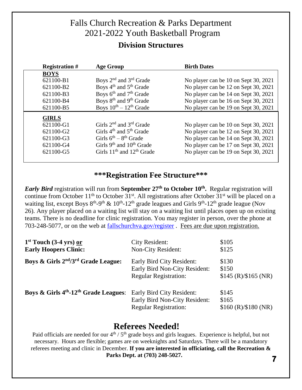# Falls Church Recreation & Parks Department 2021-2022 Youth Basketball Program

#### **Division Structures**

| <b>Registration #</b> | <b>Age Group</b>                               | <b>Birth Dates</b>                   |
|-----------------------|------------------------------------------------|--------------------------------------|
| <b>BOYS</b>           |                                                |                                      |
| 621100-B1             | Boys 2 <sup>nd</sup> and 3 <sup>rd</sup> Grade | No player can be 10 on Sept 30, 2021 |
| 621100-B2             | Boys 4 <sup>th</sup> and 5 <sup>th</sup> Grade | No player can be 12 on Sept 30, 2021 |
| 621100-B3             | Boys 6 <sup>th</sup> and 7 <sup>th</sup> Grade | No player can be 14 on Sept 30, 2021 |
| 621100-B4             | Boys 8 <sup>th</sup> and 9 <sup>th</sup> Grade | No player can be 16 on Sept 30, 2021 |
| 621100-B5             | Boys $10^{th} - 12^{th}$ Grade                 | No player can be 19 on Sept 30, 2021 |
| <b>GIRLS</b>          |                                                |                                      |
| 621100-G1             | Girls $2^{nd}$ and $3^{rd}$ Grade              | No player can be 10 on Sept 30, 2021 |
| 621100-G2             | Girls $4th$ and $5th$ Grade                    | No player can be 12 on Sept 30, 2021 |
| 621100-G3             | Girls $6^{th} - 8^{th}$ Grade                  | No player can be 14 on Sept 30, 2021 |
| 621100-G4             | Girls $9th$ and $10th$ Grade                   | No player can be 17 on Sept 30, 2021 |
| 621100-G5             | Girls $11th$ and $12th$ Grade                  | No player can be 19 on Sept 30, 2021 |

#### **\*\*\*Registration Fee Structure\*\*\***

*Early Bird* registration will run from **September 27th to October 10th .** Regular registration will continue from October  $11<sup>th</sup>$  to October 31<sup>st</sup>. All registrations after October 31<sup>st</sup> will be placed on a waiting list, except Boys  $8<sup>th</sup>-9<sup>th</sup>$  &  $10<sup>th</sup>-12<sup>th</sup>$  grade leagues and Girls  $9<sup>th</sup>-12<sup>th</sup>$  grade league (Nov 26). Any player placed on a waiting list will stay on a waiting list until places open up on existing teams. There is no deadline for clinic registration. You may register in person, over the phone at 703-248-5077, or on the web at [fallschurchva.gov/register](http://www.fallschurchva.gov/register) . Fees are due upon registration.

| $1st$ Touch (3-4 yrs) or<br><b>Early Hoopers Clinic:</b>      | <b>City Resident:</b><br>Non-City Resident:                                                | \$105<br>\$125                         |
|---------------------------------------------------------------|--------------------------------------------------------------------------------------------|----------------------------------------|
| Boys & Girls 2 <sup>nd</sup> /3 <sup>rd</sup> Grade League:   | Early Bird City Resident:<br>Early Bird Non-City Resident:<br><b>Regular Registration:</b> | \$130<br>\$150<br>\$145 (R)/\$165 (NR) |
| Boys & Girls 4 <sup>th</sup> -12 <sup>th</sup> Grade Leagues: | Early Bird City Resident:<br>Early Bird Non-City Resident:<br><b>Regular Registration:</b> | \$145<br>\$165<br>\$160 (R)/\$180 (NR) |

## **Referees Needed!**

Paid officials are needed for our 4<sup>th</sup> / 5<sup>th</sup> grade boys and girls leagues. Experience is helpful, but not necessary. Hours are flexible; games are on weeknights and Saturdays. There will be a mandatory referees meeting and clinic in December. **If you are interested in officiating, call the Recreation & Parks Dept. at (703) 248-5027. 7**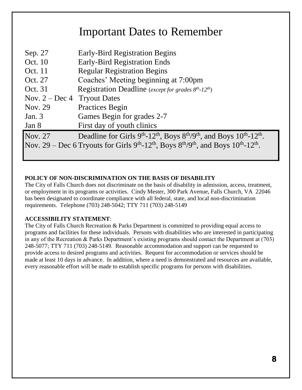# Important Dates to Remember

| Sep. 27                       | <b>Early-Bird Registration Begins</b>                                                                                                                       |
|-------------------------------|-------------------------------------------------------------------------------------------------------------------------------------------------------------|
|                               |                                                                                                                                                             |
| Oct. 10                       | <b>Early-Bird Registration Ends</b>                                                                                                                         |
| Oct. 11                       | <b>Regular Registration Begins</b>                                                                                                                          |
| Oct. 27                       | Coaches' Meeting beginning at 7:00pm                                                                                                                        |
| Oct. 31                       | Registration Deadline (except for grades $8^{th}$ -12 <sup>th</sup> )                                                                                       |
| Nov. $2 - Dec 4$ Tryout Dates |                                                                                                                                                             |
| Nov. 29                       | <b>Practices Begin</b>                                                                                                                                      |
| Jan. $3$                      | Games Begin for grades 2-7                                                                                                                                  |
| Jan 8                         | First day of youth clinics                                                                                                                                  |
| Nov. 27                       | Deadline for Girls $9th$ -12 <sup>th</sup> , Boys $8th/9th$ , and Boys $10th$ -12 <sup>th</sup> .                                                           |
|                               | Nov. 29 – Dec 6 Tryouts for Girls 9 <sup>th</sup> -12 <sup>th</sup> , Boys 8 <sup>th</sup> /9 <sup>th</sup> , and Boys 10 <sup>th</sup> -12 <sup>th</sup> . |
|                               |                                                                                                                                                             |

#### **POLICY OF NON-DISCRIMINATION ON THE BASIS OF DISABILITY**

The City of Falls Church does not discriminate on the basis of disability in admission, access, treatment, or employment in its programs or activities. Cindy Mester, 300 Park Avenue, Falls Church, VA 22046 has been designated to coordinate compliance with all federal, state, and local non-discrimination requirements. Telephone (703) 248-5042; TTY 711 (703) 248-5149

#### **ACCESSIBILITY STATEMENT**:

The City of Falls Church Recreation & Parks Department is committed to providing equal access to programs and facilities for these individuals. Persons with disabilities who are interested in participating in any of the Recreation & Parks Department's existing programs should contact the Department at (703) 248-5077; TTY 711 (703) 248-5149. Reasonable accommodation and support can be requested to provide access to desired programs and activities. Request for accommodation or services should be made at least 10 days in advance. In addition, where a need is demonstrated and resources are available, every reasonable effort will be made to establish specific programs for persons with disabilities.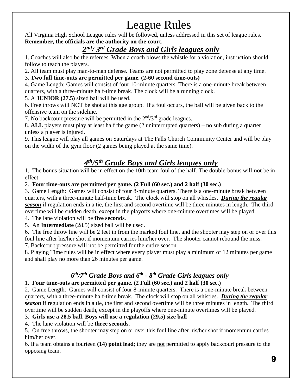# League Rules

All Virginia High School League rules will be followed, unless addressed in this set of league rules. **Remember, the officials are the authority on the court.**

## *2 nd/ 3rd Grade Boys and Girls leagues only*

1. Coaches will also be the referees. When a coach blows the whistle for a violation, instruction should follow to teach the players.

2. All team must play man-to-man defense. Teams are not permitted to play zone defense at any time.

3. **Two full time-outs are permitted per game. (2-60 second time-outs)**

4. Game Length: Games will consist of four 10-minute quarters. There is a one-minute break between quarters, with a three-minute half-time break. The clock will be a running clock.

5. A **JUNIOR (27.5)** sized ball will be used.

6. Free throws will NOT be shot at this age group. If a foul occurs, the ball will be given back to the offensive team on the sideline.

7. No backcourt pressure will be permitted in the  $2<sup>nd</sup>/3<sup>rd</sup>$  grade leagues.

8. **ALL** players must play at least half the game (2 uninterrupted quarters) – no sub during a quarter unless a player is injured.

9. This league will play all games on Saturdays at The Falls Church Community Center and will be play on the width of the gym floor (2 games being played at the same time).

## *4 th/5th Grade Boys and Girls leagues only*

1. The bonus situation will be in effect on the 10th team foul of the half. The double-bonus will **not** be in effect.

2. **Four time-outs are permitted per game. (2 Full (60 sec.) and 2 half (30 sec.)**

3. Game Length: Games will consist of four 8-minute quarters. There is a one-minute break between quarters, with a three-minute half-time break. The clock will stop on all whistles. *During the regular season* if regulation ends in a tie, the first and second overtime will be three minutes in length. The third overtime will be sudden death, except in the playoffs where one-minute overtimes will be played.

4. The lane violation will be **five seconds**.

5. An **Intermediate** (28.5) sized ball will be used.

6. The free throw line will be 2 feet in from the marked foul line, and the shooter may step on or over this foul line after his/her shot if momentum carries him/her over. The shooter cannot rebound the miss.

7. Backcourt pressure will not be permitted for the entire season.

8. Playing Time rules will be in effect where every player must play a minimum of 12 minutes per game and shall play no more than 26 minutes per game.

## *6 th/7th Grade Boys and 6 th - 8 th Grade Girls leagues only*

#### 1. **Four time-outs are permitted per game. (2 Full (60 sec.) and 2 half (30 sec.)**

2. Game Length: Games will consist of four 8-minute quarters. There is a one-minute break between quarters, with a three-minute half-time break. The clock will stop on all whistles. *During the regular season* if regulation ends in a tie, the first and second overtime will be three minutes in length. The third overtime will be sudden death, except in the playoffs where one-minute overtimes will be played.

#### 3. **Girls use a 28.5 ball**. **Boys will use a regulation (29.5) size ball**

4. The lane violation will be **three seconds**.

5. On free throws, the shooter may step on or over this foul line after his/her shot if momentum carries him/her over.

6. If a team obtains a fourteen **(14) point lead**; they are not permitted to apply backcourt pressure to the opposing team.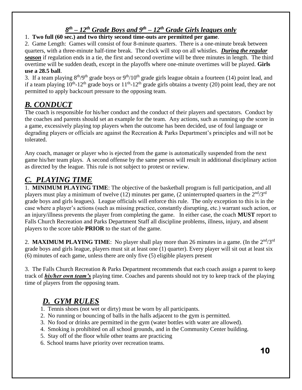## *8 th – 12th Grade Boys and 9 th – 12th Grade Girls leagues only*

#### 1. **Two full (60 sec.) and two thirty second time-outs are permitted per game**.

2. Game Length: Games will consist of four 8-minute quarters. There is a one-minute break between quarters, with a three-minute half-time break. The clock will stop on all whistles. *During the regular season* if regulation ends in a tie, the first and second overtime will be three minutes in length. The third overtime will be sudden death, except in the playoffs where one-minute overtimes will be played. **Girls use a 28.5 ball**.

3. If a team playing  $8^{th}/9^{th}$  grade boys or  $9^{th}/10^{th}$  grade girls league obtain a fourteen (14) point lead, and if a team playing  $10^{th}$ -12<sup>th</sup> grade boys or  $11^{th}$ -12<sup>th</sup> grade girls obtains a twenty (20) point lead, they are not permitted to apply backcourt pressure to the opposing team.

## *B. CONDUCT*

The coach is responsible for his/her conduct and the conduct of their players and spectators. Conduct by the coaches and parents should set an example for the team. Any actions, such as running up the score in a game, excessively playing top players when the outcome has been decided, use of foul language or degrading players or officials are against the Recreation & Parks Department's principles and will not be tolerated.

Any coach, manager or player who is ejected from the game is automatically suspended from the next game his/her team plays. A second offense by the same person will result in additional disciplinary action as directed by the league. This rule is not subject to protest or review.

## *C. PLAYING TIME*

1. **MINIMUM PLAYING TIME**: The objective of the basketball program is full participation, and all players must play a minimum of twelve (12) minutes per game, (2 uninterrupted quarters in the  $2<sup>nd</sup>/3<sup>rd</sup>$ grade boys and girls leagues). League officials will enforce this rule. The only exception to this is in the case where a player's actions (such as missing practice, constantly disrupting, etc.) warrant such action, or an injury/illness prevents the player from completing the game. In either case, the coach **MUST** report to Falls Church Recreation and Parks Department Staff all discipline problems, illness, injury, and absent players to the score table **PRIOR** to the start of the game.

2. **MAXIMUM PLAYING TIME**: No player shall play more than 26 minutes in a game. (In the  $2<sup>nd</sup>/3<sup>rd</sup>$ grade boys and girls league, players must sit at least one (1) quarter). Every player will sit out at least six (6) minutes of each game, unless there are only five (5) eligible players present

3. The Falls Church Recreation & Parks Department recommends that each coach assign a parent to keep track of *his/her own team's* playing time. Coaches and parents should not try to keep track of the playing time of players from the opposing team.

## *D. GYM RULES*

- 1. Tennis shoes (not wet or dirty) must be worn by all participants.
- 2. No running or bouncing of balls in the halls adjacent to the gym is permitted.
- 3. No food or drinks are permitted in the gym (water bottles with water are allowed).
- 4. Smoking is prohibited on all school grounds, and in the Community Center building.
- 5. Stay off of the floor while other teams are practicing
- 6. School teams have priority over recreation teams.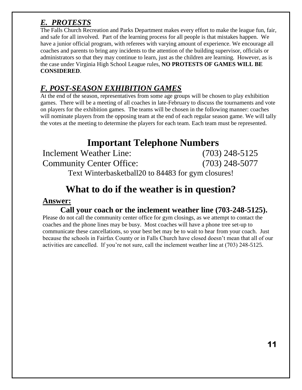# *E. PROTESTS*

The Falls Church Recreation and Parks Department makes every effort to make the league fun, fair, and safe for all involved. Part of the learning process for all people is that mistakes happen. We have a junior official program, with referees with varying amount of experience. We encourage all coaches and parents to bring any incidents to the attention of the building supervisor, officials or administrators so that they may continue to learn, just as the children are learning. However, as is the case under Virginia High School League rules, **NO PROTESTS OF GAMES WILL BE CONSIDERED**.

## *F. POST-SEASON EXHIBITION GAMES*

At the end of the season, representatives from some age groups will be chosen to play exhibition games. There will be a meeting of all coaches in late-February to discuss the tournaments and vote on players for the exhibition games. The teams will be chosen in the following manner: coaches will nominate players from the opposing team at the end of each regular season game. We will tally the votes at the meeting to determine the players for each team. Each team must be represented.

# **Important Telephone Numbers**

Inclement Weather Line: (703) 248-5125 Community Center Office: (703) 248-5077 Text Winterbasketball20 to 84483 for gym closures!

# **What to do if the weather is in question?**

## **Answer:**

**Call your coach or the inclement weather line (703-248-5125).**

Please do not call the community center office for gym closings, as we attempt to contact the coaches and the phone lines may be busy. Most coaches will have a phone tree set-up to communicate these cancellations, so your best bet may be to wait to hear from your coach. Just because the schools in Fairfax County or in Falls Church have closed doesn't mean that all of our activities are cancelled. If you're not sure, call the inclement weather line at (703) 248-5125.